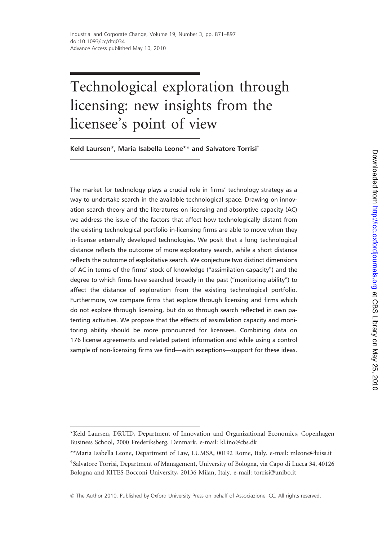# Technological exploration through licensing: new insights from the licensee's point of view

Keld Laursen\*, Maria Isabella Leone\*\* and Salvatore Torrisi<sup>†</sup>

The market for technology plays a crucial role in firms' technology strategy as a way to undertake search in the available technological space. Drawing on innovation search theory and the literatures on licensing and absorptive capacity (AC) we address the issue of the factors that affect how technologically distant from the existing technological portfolio in-licensing firms are able to move when they in-license externally developed technologies. We posit that a long technological distance reflects the outcome of more exploratory search, while a short distance reflects the outcome of exploitative search. We conjecture two distinct dimensions of AC in terms of the firms' stock of knowledge ("assimilation capacity") and the degree to which firms have searched broadly in the past ("monitoring ability") to affect the distance of exploration from the existing technological portfolio. Furthermore, we compare firms that explore through licensing and firms which do not explore through licensing, but do so through search reflected in own patenting activities. We propose that the effects of assimilation capacity and monitoring ability should be more pronounced for licensees. Combining data on 176 license agreements and related patent information and while using a control sample of non-licensing firms we find—with exceptions—support for these ideas.

<sup>\*</sup>Keld Laursen, DRUID, Department of Innovation and Organizational Economics, Copenhagen Business School, 2000 Frederiksberg, Denmark. e-mail: kl.ino@cbs.dk

<sup>\*\*</sup>Maria Isabella Leone, Department of Law, LUMSA, 00192 Rome, Italy. e-mail: mleone@luiss.it

<sup>&</sup>lt;sup>†</sup>Salvatore Torrisi, Department of Management, University of Bologna, via Capo di Lucca 34, 40126 Bologna and KITES-Bocconi University, 20136 Milan, Italy. e-mail: torrisi@unibo.it

<sup>-</sup> The Author 2010. Published by Oxford University Press on behalf of Associazione ICC. All rights reserved.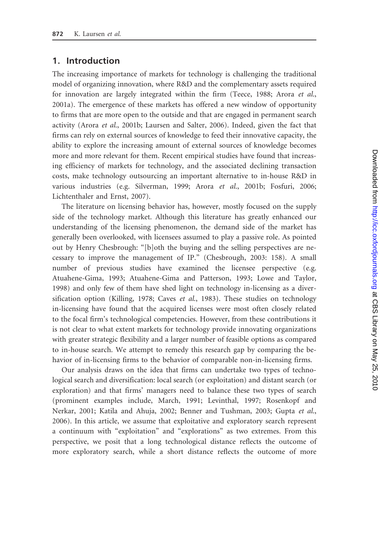# 1. Introduction

The increasing importance of markets for technology is challenging the traditional model of organizing innovation, where R&D and the complementary assets required for innovation are largely integrated within the firm (Teece, 1988; Arora et al., 2001a). The emergence of these markets has offered a new window of opportunity to firms that are more open to the outside and that are engaged in permanent search activity (Arora et al., 2001b; Laursen and Salter, 2006). Indeed, given the fact that firms can rely on external sources of knowledge to feed their innovative capacity, the ability to explore the increasing amount of external sources of knowledge becomes more and more relevant for them. Recent empirical studies have found that increasing efficiency of markets for technology, and the associated declining transaction costs, make technology outsourcing an important alternative to in-house R&D in various industries (e.g. Silverman, 1999; Arora et al., 2001b; Fosfuri, 2006; Lichtenthaler and Ernst, 2007).

The literature on licensing behavior has, however, mostly focused on the supply side of the technology market. Although this literature has greatly enhanced our understanding of the licensing phenomenon, the demand side of the market has generally been overlooked, with licensees assumed to play a passive role. As pointed out by Henry Chesbrough: "[b]oth the buying and the selling perspectives are necessary to improve the management of IP." (Chesbrough, 2003: 158). A small number of previous studies have examined the licensee perspective (e.g. Atuahene-Gima, 1993; Atuahene-Gima and Patterson, 1993; Lowe and Taylor, 1998) and only few of them have shed light on technology in-licensing as a diversification option (Killing, 1978; Caves *et al.*, 1983). These studies on technology in-licensing have found that the acquired licenses were most often closely related to the focal firm's technological competencies. However, from these contributions it is not clear to what extent markets for technology provide innovating organizations with greater strategic flexibility and a larger number of feasible options as compared to in-house search. We attempt to remedy this research gap by comparing the behavior of in-licensing firms to the behavior of comparable non-in-licensing firms.

Our analysis draws on the idea that firms can undertake two types of technological search and diversification: local search (or exploitation) and distant search (or exploration) and that firms' managers need to balance these two types of search (prominent examples include, March, 1991; Levinthal, 1997; Rosenkopf and Nerkar, 2001; Katila and Ahuja, 2002; Benner and Tushman, 2003; Gupta et al., 2006). In this article, we assume that exploitative and exploratory search represent a continuum with "exploitation" and "explorations" as two extremes. From this perspective, we posit that a long technological distance reflects the outcome of more exploratory search, while a short distance reflects the outcome of more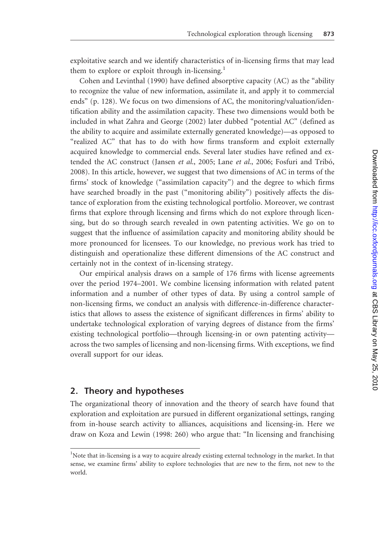exploitative search and we identify characteristics of in-licensing firms that may lead them to explore or exploit through in-licensing.<sup>1</sup>

Cohen and Levinthal (1990) have defined absorptive capacity (AC) as the "ability to recognize the value of new information, assimilate it, and apply it to commercial ends" (p. 128). We focus on two dimensions of AC, the monitoring/valuation/identification ability and the assimilation capacity. These two dimensions would both be included in what Zahra and George (2002) later dubbed "potential AC" (defined as the ability to acquire and assimilate externally generated knowledge)—as opposed to "realized AC" that has to do with how firms transform and exploit externally acquired knowledge to commercial ends. Several later studies have refined and extended the AC construct (Jansen et al., 2005; Lane et al., 2006; Fosfuri and Tribó, 2008). In this article, however, we suggest that two dimensions of AC in terms of the firms' stock of knowledge ("assimilation capacity") and the degree to which firms have searched broadly in the past ("monitoring ability") positively affects the distance of exploration from the existing technological portfolio. Moreover, we contrast firms that explore through licensing and firms which do not explore through licensing, but do so through search revealed in own patenting activities. We go on to suggest that the influence of assimilation capacity and monitoring ability should be more pronounced for licensees. To our knowledge, no previous work has tried to distinguish and operationalize these different dimensions of the AC construct and certainly not in the context of in-licensing strategy.

Our empirical analysis draws on a sample of 176 firms with license agreements over the period 1974–2001. We combine licensing information with related patent information and a number of other types of data. By using a control sample of non-licensing firms, we conduct an analysis with difference-in-difference characteristics that allows to assess the existence of significant differences in firms' ability to undertake technological exploration of varying degrees of distance from the firms' existing technological portfolio—through licensing-in or own patenting activity across the two samples of licensing and non-licensing firms. With exceptions, we find overall support for our ideas.

# 2. Theory and hypotheses

The organizational theory of innovation and the theory of search have found that exploration and exploitation are pursued in different organizational settings, ranging from in-house search activity to alliances, acquisitions and licensing-in. Here we draw on Koza and Lewin (1998: 260) who argue that: "In licensing and franchising

<sup>&</sup>lt;sup>1</sup>Note that in-licensing is a way to acquire already existing external technology in the market. In that sense, we examine firms' ability to explore technologies that are new to the firm, not new to the world.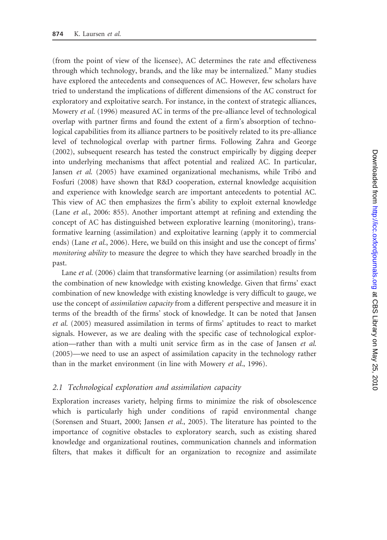(from the point of view of the licensee), AC determines the rate and effectiveness through which technology, brands, and the like may be internalized." Many studies have explored the antecedents and consequences of AC. However, few scholars have tried to understand the implications of different dimensions of the AC construct for exploratory and exploitative search. For instance, in the context of strategic alliances, Mowery et al. (1996) measured AC in terms of the pre-alliance level of technological overlap with partner firms and found the extent of a firm's absorption of technological capabilities from its alliance partners to be positively related to its pre-alliance level of technological overlap with partner firms. Following Zahra and George (2002), subsequent research has tested the construct empirically by digging deeper into underlying mechanisms that affect potential and realized AC. In particular, Jansen et al. (2005) have examined organizational mechanisms, while Tribó and Fosfuri (2008) have shown that R&D cooperation, external knowledge acquisition and experience with knowledge search are important antecedents to potential AC. This view of AC then emphasizes the firm's ability to exploit external knowledge (Lane et al., 2006: 855). Another important attempt at refining and extending the concept of AC has distinguished between explorative learning (monitoring), transformative learning (assimilation) and exploitative learning (apply it to commercial ends) (Lane et al., 2006). Here, we build on this insight and use the concept of firms' monitoring ability to measure the degree to which they have searched broadly in the past.

Lane *et al.* (2006) claim that transformative learning (or assimilation) results from the combination of new knowledge with existing knowledge. Given that firms' exact combination of new knowledge with existing knowledge is very difficult to gauge, we use the concept of assimilation capacity from a different perspective and measure it in terms of the breadth of the firms' stock of knowledge. It can be noted that Jansen et al. (2005) measured assimilation in terms of firms' aptitudes to react to market signals. However, as we are dealing with the specific case of technological exploration—rather than with a multi unit service firm as in the case of Jansen et al. (2005)—we need to use an aspect of assimilation capacity in the technology rather than in the market environment (in line with Mowery et al., 1996).

## 2.1 Technological exploration and assimilation capacity

Exploration increases variety, helping firms to minimize the risk of obsolescence which is particularly high under conditions of rapid environmental change (Sorensen and Stuart, 2000; Jansen et al., 2005). The literature has pointed to the importance of cognitive obstacles to exploratory search, such as existing shared knowledge and organizational routines, communication channels and information filters, that makes it difficult for an organization to recognize and assimilate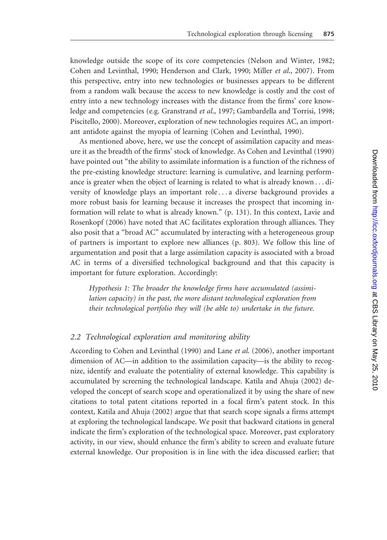knowledge outside the scope of its core competencies (Nelson and Winter, 1982; Cohen and Levinthal, 1990; Henderson and Clark, 1990; Miller et al., 2007). From this perspective, entry into new technologies or businesses appears to be different from a random walk because the access to new knowledge is costly and the cost of entry into a new technology increases with the distance from the firms' core knowledge and competencies (e.g. Granstrand et al., 1997; Gambardella and Torrisi, 1998; Piscitello, 2000). Moreover, exploration of new technologies requires AC, an important antidote against the myopia of learning (Cohen and Levinthal, 1990).

As mentioned above, here, we use the concept of assimilation capacity and measure it as the breadth of the firms' stock of knowledge. As Cohen and Levinthal (1990) have pointed out "the ability to assimilate information is a function of the richness of the pre-existing knowledge structure: learning is cumulative, and learning performance is greater when the object of learning is related to what is already known ... diversity of knowledge plays an important role ... a diverse background provides a more robust basis for learning because it increases the prospect that incoming information will relate to what is already known." (p. 131). In this context, Lavie and Rosenkopf (2006) have noted that AC facilitates exploration through alliances. They also posit that a "broad AC" accumulated by interacting with a heterogeneous group of partners is important to explore new alliances (p. 803). We follow this line of argumentation and posit that a large assimilation capacity is associated with a broad AC in terms of a diversified technological background and that this capacity is important for future exploration. Accordingly:

Hypothesis 1: The broader the knowledge firms have accumulated (assimilation capacity) in the past, the more distant technological exploration from their technological portfolio they will (be able to) undertake in the future.

## 2.2 Technological exploration and monitoring ability

According to Cohen and Levinthal (1990) and Lane et al. (2006), another important dimension of AC—in addition to the assimilation capacity—is the ability to recognize, identify and evaluate the potentiality of external knowledge. This capability is accumulated by screening the technological landscape. Katila and Ahuja (2002) developed the concept of search scope and operationalized it by using the share of new citations to total patent citations reported in a focal firm's patent stock. In this context, Katila and Ahuja (2002) argue that that search scope signals a firms attempt at exploring the technological landscape. We posit that backward citations in general indicate the firm's exploration of the technological space. Moreover, past exploratory activity, in our view, should enhance the firm's ability to screen and evaluate future external knowledge. Our proposition is in line with the idea discussed earlier; that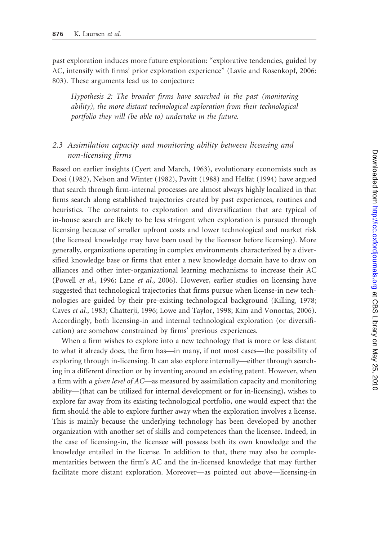past exploration induces more future exploration: "explorative tendencies, guided by AC, intensify with firms' prior exploration experience" (Lavie and Rosenkopf, 2006: 803). These arguments lead us to conjecture:

Hypothesis 2: The broader firms have searched in the past (monitoring ability), the more distant technological exploration from their technological portfolio they will (be able to) undertake in the future.

# 2.3 Assimilation capacity and monitoring ability between licensing and non-licensing firms

Based on earlier insights (Cyert and March, 1963), evolutionary economists such as Dosi (1982), Nelson and Winter (1982), Pavitt (1988) and Helfat (1994) have argued that search through firm-internal processes are almost always highly localized in that firms search along established trajectories created by past experiences, routines and heuristics. The constraints to exploration and diversification that are typical of in-house search are likely to be less stringent when exploration is pursued through licensing because of smaller upfront costs and lower technological and market risk (the licensed knowledge may have been used by the licensor before licensing). More generally, organizations operating in complex environments characterized by a diversified knowledge base or firms that enter a new knowledge domain have to draw on alliances and other inter-organizational learning mechanisms to increase their AC (Powell et al., 1996; Lane et al., 2006). However, earlier studies on licensing have suggested that technological trajectories that firms pursue when license-in new technologies are guided by their pre-existing technological background (Killing, 1978; Caves et al., 1983; Chatterji, 1996; Lowe and Taylor, 1998; Kim and Vonortas, 2006). Accordingly, both licensing-in and internal technological exploration (or diversification) are somehow constrained by firms' previous experiences.

When a firm wishes to explore into a new technology that is more or less distant to what it already does, the firm has—in many, if not most cases—the possibility of exploring through in-licensing. It can also explore internally—either through searching in a different direction or by inventing around an existing patent. However, when a firm with a given level of AC—as measured by assimilation capacity and monitoring ability—(that can be utilized for internal development or for in-licensing), wishes to explore far away from its existing technological portfolio, one would expect that the firm should the able to explore further away when the exploration involves a license. This is mainly because the underlying technology has been developed by another organization with another set of skills and competences than the licensee. Indeed, in the case of licensing-in, the licensee will possess both its own knowledge and the knowledge entailed in the license. In addition to that, there may also be complementarities between the firm's AC and the in-licensed knowledge that may further facilitate more distant exploration. Moreover—as pointed out above—licensing-in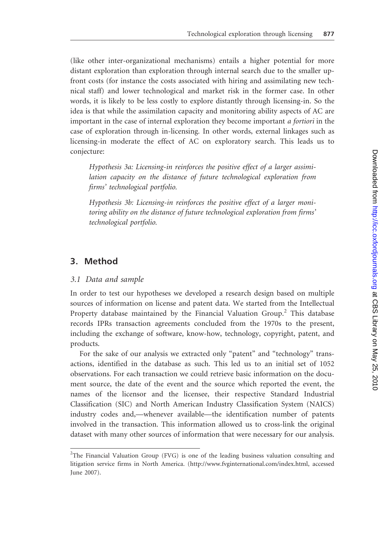(like other inter-organizational mechanisms) entails a higher potential for more distant exploration than exploration through internal search due to the smaller upfront costs (for instance the costs associated with hiring and assimilating new technical staff) and lower technological and market risk in the former case. In other words, it is likely to be less costly to explore distantly through licensing-in. So the idea is that while the assimilation capacity and monitoring ability aspects of AC are important in the case of internal exploration they become important a fortiori in the case of exploration through in-licensing. In other words, external linkages such as licensing-in moderate the effect of AC on exploratory search. This leads us to conjecture:

Hypothesis 3a: Licensing-in reinforces the positive effect of a larger assimilation capacity on the distance of future technological exploration from firms' technological portfolio.

Hypothesis 3b: Licensing-in reinforces the positive effect of a larger monitoring ability on the distance of future technological exploration from firms' technological portfolio.

# 3. Method

## 3.1 Data and sample

In order to test our hypotheses we developed a research design based on multiple sources of information on license and patent data. We started from the Intellectual Property database maintained by the Financial Valuation Group.<sup>2</sup> This database records IPRs transaction agreements concluded from the 1970s to the present, including the exchange of software, know-how, technology, copyright, patent, and products.

For the sake of our analysis we extracted only "patent" and "technology" transactions, identified in the database as such. This led us to an initial set of 1052 observations. For each transaction we could retrieve basic information on the document source, the date of the event and the source which reported the event, the names of the licensor and the licensee, their respective Standard Industrial Classification (SIC) and North American Industry Classification System (NAICS) industry codes and,—whenever available—the identification number of patents involved in the transaction. This information allowed us to cross-link the original dataset with many other sources of information that were necessary for our analysis.

<sup>&</sup>lt;sup>2</sup>The Financial Valuation Group (FVG) is one of the leading business valuation consulting and litigation service firms in North America. [\(http://www.fvginternational.com/index.html,](http://www.fvginternational.com/index.html) accessed June 2007).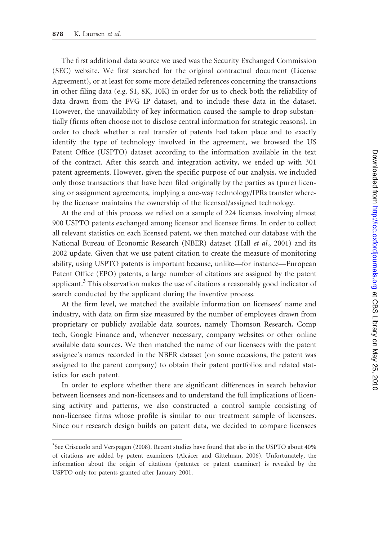The first additional data source we used was the Security Exchanged Commission (SEC) website. We first searched for the original contractual document (License Agreement), or at least for some more detailed references concerning the transactions in other filing data (e.g. S1, 8K, 10K) in order for us to check both the reliability of data drawn from the FVG IP dataset, and to include these data in the dataset. However, the unavailability of key information caused the sample to drop substantially (firms often choose not to disclose central information for strategic reasons). In order to check whether a real transfer of patents had taken place and to exactly identify the type of technology involved in the agreement, we browsed the US Patent Office (USPTO) dataset according to the information available in the text of the contract. After this search and integration activity, we ended up with 301 patent agreements. However, given the specific purpose of our analysis, we included only those transactions that have been filed originally by the parties as (pure) licensing or assignment agreements, implying a one-way technology/IPRs transfer whereby the licensor maintains the ownership of the licensed/assigned technology.

At the end of this process we relied on a sample of 224 licenses involving almost 900 USPTO patents exchanged among licensor and licensee firms. In order to collect all relevant statistics on each licensed patent, we then matched our database with the National Bureau of Economic Research (NBER) dataset (Hall et al., 2001) and its 2002 update. Given that we use patent citation to create the measure of monitoring ability, using USPTO patents is important because, unlike—for instance—European Patent Office (EPO) patents, a large number of citations are assigned by the patent applicant.<sup>3</sup> This observation makes the use of citations a reasonably good indicator of search conducted by the applicant during the inventive process.

At the firm level, we matched the available information on licensees' name and industry, with data on firm size measured by the number of employees drawn from proprietary or publicly available data sources, namely Thomson Research, Comp tech, Google Finance and, whenever necessary, company websites or other online available data sources. We then matched the name of our licensees with the patent assignee's names recorded in the NBER dataset (on some occasions, the patent was assigned to the parent company) to obtain their patent portfolios and related statistics for each patent.

In order to explore whether there are significant differences in search behavior between licensees and non-licensees and to understand the full implications of licensing activity and patterns, we also constructed a control sample consisting of non-licensee firms whose profile is similar to our treatment sample of licensees. Since our research design builds on patent data, we decided to compare licensees

<sup>&</sup>lt;sup>3</sup>See Criscuolo and Verspagen (2008). Recent studies have found that also in the USPTO about 40% of citations are added by patent examiners (Alca´cer and Gittelman, 2006). Unfortunately, the information about the origin of citations (patentee or patent examiner) is revealed by the USPTO only for patents granted after January 2001.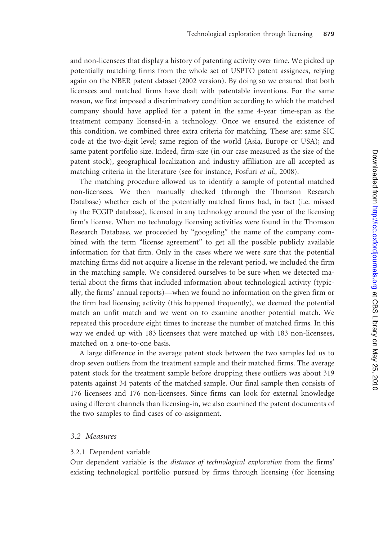and non-licensees that display a history of patenting activity over time. We picked up potentially matching firms from the whole set of USPTO patent assignees, relying again on the NBER patent dataset (2002 version). By doing so we ensured that both licensees and matched firms have dealt with patentable inventions. For the same reason, we first imposed a discriminatory condition according to which the matched company should have applied for a patent in the same 4-year time-span as the treatment company licensed-in a technology. Once we ensured the existence of this condition, we combined three extra criteria for matching. These are: same SIC code at the two-digit level; same region of the world (Asia, Europe or USA); and same patent portfolio size. Indeed, firm-size (in our case measured as the size of the patent stock), geographical localization and industry affiliation are all accepted as matching criteria in the literature (see for instance, Fosfuri et al., 2008).

The matching procedure allowed us to identify a sample of potential matched non-licensees. We then manually checked (through the Thomson Research Database) whether each of the potentially matched firms had, in fact (i.e. missed by the FCGIP database), licensed in any technology around the year of the licensing firm's license. When no technology licensing activities were found in the Thomson Research Database, we proceeded by "googeling" the name of the company combined with the term "license agreement" to get all the possible publicly available information for that firm. Only in the cases where we were sure that the potential matching firms did not acquire a license in the relevant period, we included the firm in the matching sample. We considered ourselves to be sure when we detected material about the firms that included information about technological activity (typically, the firms' annual reports)—when we found no information on the given firm or the firm had licensing activity (this happened frequently), we deemed the potential match an unfit match and we went on to examine another potential match. We repeated this procedure eight times to increase the number of matched firms. In this way we ended up with 183 licensees that were matched up with 183 non-licensees, matched on a one-to-one basis.

A large difference in the average patent stock between the two samples led us to drop seven outliers from the treatment sample and their matched firms. The average patent stock for the treatment sample before dropping these outliers was about 319 patents against 34 patents of the matched sample. Our final sample then consists of 176 licensees and 176 non-licensees. Since firms can look for external knowledge using different channels than licensing-in, we also examined the patent documents of the two samples to find cases of co-assignment.

## 3.2 Measures

#### 3.2.1 Dependent variable

Our dependent variable is the distance of technological exploration from the firms' existing technological portfolio pursued by firms through licensing (for licensing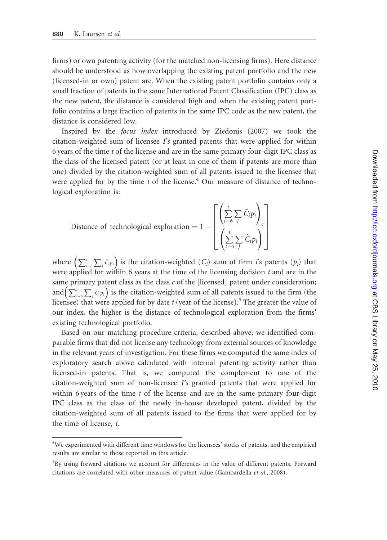firms) or own patenting activity (for the matched non-licensing firms). Here distance should be understood as how overlapping the existing patent portfolio and the new (licensed-in or own) patent are. When the existing patent portfolio contains only a small fraction of patents in the same International Patent Classification (IPC) class as the new patent, the distance is considered high and when the existing patent portfolio contains a large fraction of patents in the same IPC code as the new patent, the distance is considered low.

Inspired by the focus index introduced by Ziedonis (2007) we took the citation-weighted sum of licensee  $\Gamma$ 's granted patents that were applied for within 6 years of the time t of the license and are in the same primary four-digit IPC class as the class of the licensed patent (or at least in one of them if patents are more than one) divided by the citation-weighted sum of all patents issued to the licensee that were applied for by the time  $t$  of the license.<sup>4</sup> Our measure of distance of technological exploration is:

Distance of technological exploration = 
$$
1 - \left[ \frac{\left( \sum_{t=6}^{t} \sum_{j} \tilde{C}_{i} p_{i} \right)_{c}}{\left( \sum_{t=6}^{t} \sum_{j} \tilde{C}_{i} p_{i} \right)} \right]
$$

where  $\left( \sum_{t=6}^{t} \sum_{j} \tilde{C}_i p_i \right)$  $(-,-)$ were applied for within 6 years at the time of the licensing decision  $t$  and are in the is the citation-weighted  $(C_i)$  sum of firm  $\hat{i}$ s patents  $(p_i)$  that same primary patent class as the class  $c$  of the [licensed] patent under consideration; same primary patent class as the class c of the [hcensed] patent under consideration;<br>and  $\left(\sum_{t=6}^{t} \sum_{j} \tilde{c}_{i} p_{i}\right)$  is the citation-weighted sum of all patents issued to the firm (the licensee) that were applied for by date t (year of the license).<sup>5</sup> The greater the value of our index, the higher is the distance of technological exploration from the firms' existing technological portfolio.

Based on our matching procedure criteria, described above, we identified comparable firms that did not license any technology from external sources of knowledge in the relevant years of investigation. For these firms we computed the same index of exploratory search above calculated with internal patenting activity rather than licensed-in patents. That is, we computed the complement to one of the citation-weighted sum of non-licensee I's granted patents that were applied for within 6 years of the time  $t$  of the license and are in the same primary four-digit IPC class as the class of the newly in-house developed patent, divided by the citation-weighted sum of all patents issued to the firms that were applied for by the time of license, t.

<sup>&</sup>lt;sup>4</sup>We experimented with different time windows for the licensees' stocks of patents, and the empirical results are similar to those reported in this article.

<sup>5</sup> By using forward citations we account for differences in the value of different patents. Forward citations are correlated with other measures of patent value (Gambardella et al., 2008).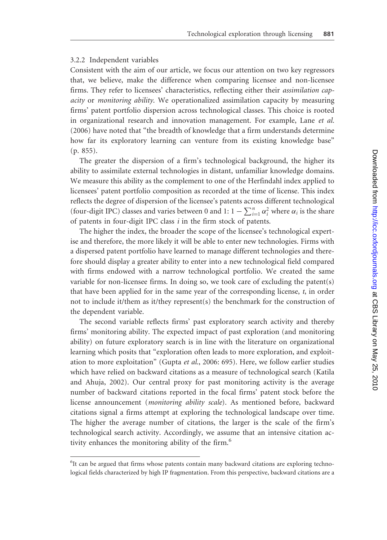#### 3.2.2 Independent variables

Consistent with the aim of our article, we focus our attention on two key regressors that, we believe, make the difference when comparing licensee and non-licensee firms. They refer to licensees' characteristics, reflecting either their assimilation capacity or monitoring ability. We operationalized assimilation capacity by measuring firms' patent portfolio dispersion across technological classes. This choice is rooted in organizational research and innovation management. For example, Lane et al. (2006) have noted that "the breadth of knowledge that a firm understands determine how far its exploratory learning can venture from its existing knowledge base" (p. 855).

The greater the dispersion of a firm's technological background, the higher its ability to assimilate external technologies in distant, unfamiliar knowledge domains. We measure this ability as the complement to one of the Herfindahl index applied to licensees' patent portfolio composition as recorded at the time of license. This index reflects the degree of dispersion of the licensee's patents across different technological (four-digit IPC) classes and varies between 0 and 1:  $1 - \sum_{i=1}^{n} \alpha_i^2$  where  $\alpha_i$  is the share of patents in four-digit IPC class  $i$  in the firm stock of patents.

The higher the index, the broader the scope of the licensee's technological expertise and therefore, the more likely it will be able to enter new technologies. Firms with a dispersed patent portfolio have learned to manage different technologies and therefore should display a greater ability to enter into a new technological field compared with firms endowed with a narrow technological portfolio. We created the same variable for non-licensee firms. In doing so, we took care of excluding the patent(s) that have been applied for in the same year of the corresponding license, t, in order not to include it/them as it/they represent(s) the benchmark for the construction of the dependent variable.

The second variable reflects firms' past exploratory search activity and thereby firms' monitoring ability. The expected impact of past exploration (and monitoring ability) on future exploratory search is in line with the literature on organizational learning which posits that "exploration often leads to more exploration, and exploitation to more exploitation" (Gupta et al., 2006: 695). Here, we follow earlier studies which have relied on backward citations as a measure of technological search (Katila and Ahuja, 2002). Our central proxy for past monitoring activity is the average number of backward citations reported in the focal firms' patent stock before the license announcement (monitoring ability scale). As mentioned before, backward citations signal a firms attempt at exploring the technological landscape over time. The higher the average number of citations, the larger is the scale of the firm's technological search activity. Accordingly, we assume that an intensive citation activity enhances the monitoring ability of the firm.<sup>6</sup>

<sup>&</sup>lt;sup>6</sup>It can be argued that firms whose patents contain many backward citations are exploring technological fields characterized by high IP fragmentation. From this perspective, backward citations are a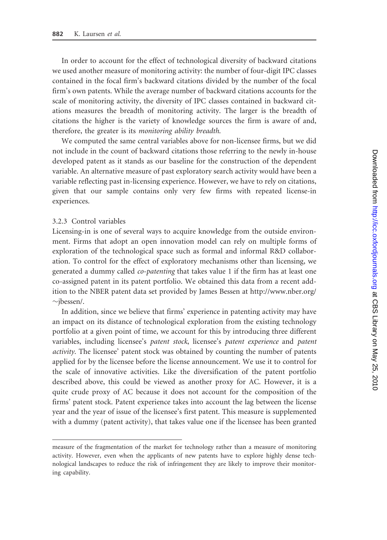In order to account for the effect of technological diversity of backward citations we used another measure of monitoring activity: the number of four-digit IPC classes contained in the focal firm's backward citations divided by the number of the focal firm's own patents. While the average number of backward citations accounts for the scale of monitoring activity, the diversity of IPC classes contained in backward citations measures the breadth of monitoring activity. The larger is the breadth of citations the higher is the variety of knowledge sources the firm is aware of and, therefore, the greater is its monitoring ability breadth.

We computed the same central variables above for non-licensee firms, but we did not include in the count of backward citations those referring to the newly in-house developed patent as it stands as our baseline for the construction of the dependent variable. An alternative measure of past exploratory search activity would have been a variable reflecting past in-licensing experience. However, we have to rely on citations, given that our sample contains only very few firms with repeated license-in experiences.

## 3.2.3 Control variables

Licensing-in is one of several ways to acquire knowledge from the outside environment. Firms that adopt an open innovation model can rely on multiple forms of exploration of the technological space such as formal and informal R&D collaboration. To control for the effect of exploratory mechanisms other than licensing, we generated a dummy called co-patenting that takes value 1 if the firm has at least one co-assigned patent in its patent portfolio. We obtained this data from a recent addition to the NBER patent data set provided by James Bessen at<http://www.nber.org/>  $\sim$ jbessen/.

In addition, since we believe that firms' experience in patenting activity may have an impact on its distance of technological exploration from the existing technology portfolio at a given point of time, we account for this by introducing three different variables, including licensee's patent stock, licensee's patent experience and patent activity. The licensee' patent stock was obtained by counting the number of patents applied for by the licensee before the license announcement. We use it to control for the scale of innovative activities. Like the diversification of the patent portfolio described above, this could be viewed as another proxy for AC. However, it is a quite crude proxy of AC because it does not account for the composition of the firms' patent stock. Patent experience takes into account the lag between the license year and the year of issue of the licensee's first patent. This measure is supplemented with a dummy (patent activity), that takes value one if the licensee has been granted

measure of the fragmentation of the market for technology rather than a measure of monitoring activity. However, even when the applicants of new patents have to explore highly dense technological landscapes to reduce the risk of infringement they are likely to improve their monitoring capability.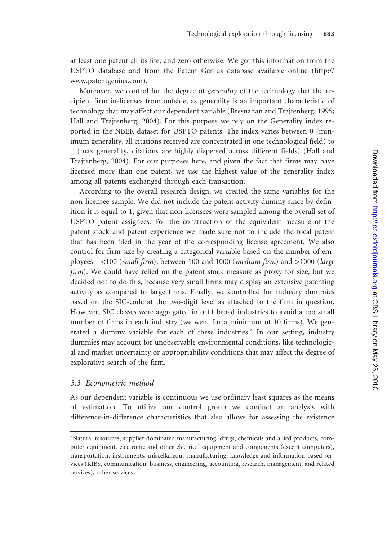at least one patent all its life, and zero otherwise. We got this information from the USPTO database and from the Patent Genius database available online (<http://> www.patentgenius.com).

Moreover, we control for the degree of generality of the technology that the recipient firm in-licenses from outside, as generality is an important characteristic of technology that may affect our dependent variable (Bresnahan and Trajtenberg, 1995; Hall and Trajtenberg, 2004). For this purpose we rely on the Generality index reported in the NBER dataset for USPTO patents. The index varies between 0 (minimum generality, all citations received are concentrated in one technological field) to 1 (max generality, citations are highly dispersed across different fields) (Hall and Trajtenberg, 2004). For our purposes here, and given the fact that firms may have licensed more than one patent, we use the highest value of the generality index among all patents exchanged through each transaction.

According to the overall research design, we created the same variables for the non-licensee sample. We did not include the patent activity dummy since by definition it is equal to 1, given that non-licensees were sampled among the overall set of USPTO patent assignees. For the construction of the equivalent measure of the patent stock and patent experience we made sure not to include the focal patent that has been filed in the year of the corresponding license agreement. We also control for firm size by creating a categorical variable based on the number of employees—<100 (small firm), between 100 and 1000 (medium firm) and >1000 (large firm). We could have relied on the patent stock measure as proxy for size, but we decided not to do this, because very small firms may display an extensive patenting activity as compared to large firms. Finally, we controlled for industry dummies based on the SIC-code at the two-digit level as attached to the firm in question. However, SIC classes were aggregated into 11 broad industries to avoid a too small number of firms in each industry (we went for a minimum of 10 firms). We generated a dummy variable for each of these industries.<sup>7</sup> In our setting, industry dummies may account for unobservable environmental conditions, like technological and market uncertainty or appropriability conditions that may affect the degree of explorative search of the firm.

## 3.3 Econometric method

As our dependent variable is continuous we use ordinary least squares as the means of estimation. To utilize our control group we conduct an analysis with difference-in-difference characteristics that also allows for assessing the existence

<sup>&</sup>lt;sup>7</sup>Natural resources, supplier dominated manufacturing, drugs, chemicals and allied products, computer equipment, electronic and other electrical equipment and components (except computers), transportation, instruments, miscellaneous manufacturing, knowledge and information-based services (KIBS, communication, business, engineering, accounting, research, management, and related services), other services.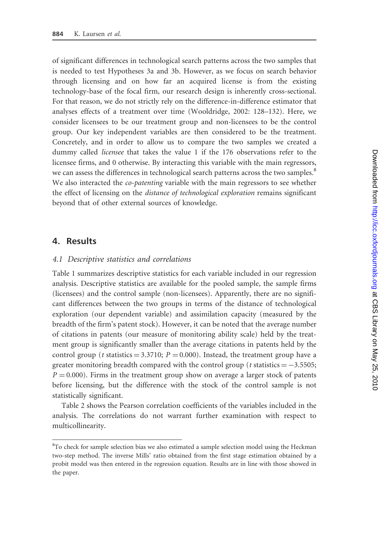of significant differences in technological search patterns across the two samples that is needed to test Hypotheses 3a and 3b. However, as we focus on search behavior through licensing and on how far an acquired license is from the existing technology-base of the focal firm, our research design is inherently cross-sectional. For that reason, we do not strictly rely on the difference-in-difference estimator that analyses effects of a treatment over time (Wooldridge, 2002: 128–132). Here, we consider licensees to be our treatment group and non-licensees to be the control group. Our key independent variables are then considered to be the treatment. Concretely, and in order to allow us to compare the two samples we created a dummy called licensee that takes the value 1 if the 176 observations refer to the licensee firms, and 0 otherwise. By interacting this variable with the main regressors, we can assess the differences in technological search patterns across the two samples.<sup>8</sup> We also interacted the co-patenting variable with the main regressors to see whether the effect of licensing on the distance of technological exploration remains significant beyond that of other external sources of knowledge.

# 4. Results

## 4.1 Descriptive statistics and correlations

Table 1 summarizes descriptive statistics for each variable included in our regression analysis. Descriptive statistics are available for the pooled sample, the sample firms (licensees) and the control sample (non-licensees). Apparently, there are no significant differences between the two groups in terms of the distance of technological exploration (our dependent variable) and assimilation capacity (measured by the breadth of the firm's patent stock). However, it can be noted that the average number of citations in patents (our measure of monitoring ability scale) held by the treatment group is significantly smaller than the average citations in patents held by the control group (*t* statistics = 3.3710;  $P = 0.000$ ). Instead, the treatment group have a greater monitoring breadth compared with the control group ( $t$  statistics  $=$  -3.5505;  $P = 0.000$ . Firms in the treatment group show on average a larger stock of patents before licensing, but the difference with the stock of the control sample is not statistically significant.

Table 2 shows the Pearson correlation coefficients of the variables included in the analysis. The correlations do not warrant further examination with respect to multicollinearity.

<sup>&</sup>lt;sup>8</sup>To check for sample selection bias we also estimated a sample selection model using the Heckman two-step method. The inverse Mills' ratio obtained from the first stage estimation obtained by a probit model was then entered in the regression equation. Results are in line with those showed in the paper.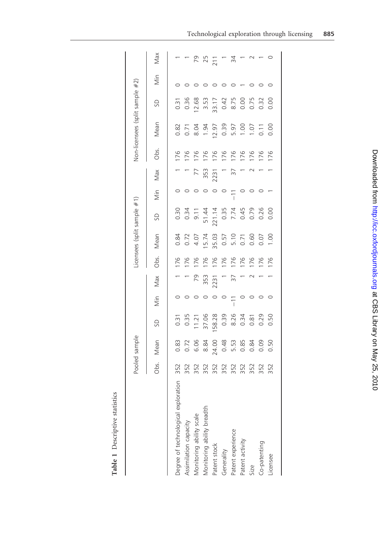Table 1 Descriptive statistics Table 1 Descriptive statistics

|                                     |            | Pooled sample |                      |     |      |      |                                        | icensees (split sample #1)                          |    |                |      | Non-licensees (split sample #2) |                        |     |                 |
|-------------------------------------|------------|---------------|----------------------|-----|------|------|----------------------------------------|-----------------------------------------------------|----|----------------|------|---------------------------------|------------------------|-----|-----------------|
|                                     | Obs.       | Mean          | SD                   | Min | Max  | Obs. | Mean                                   | SD                                                  | İm | Max            | Obs. | Mean                            | SD                     | Nin | Max             |
| Degree of technological exploration | 352        | 0.83          | $0.\overline{3}1$    |     |      | 176  | 0.84                                   |                                                     |    |                | 176  | 0.82                            | $0.\overline{3}$       |     |                 |
| Assimilation capacity               | 352        | 0.72          | 0.35                 |     |      | 176  | $0.72$<br>4.07                         | $0.30$<br>$0.34$<br>$9.11$                          |    |                | 76   | 0.71                            | 0.36                   |     |                 |
| Monitoring ability scale            | 352        | 6.06          | 11.21                |     | 79   | 176  |                                        |                                                     |    | 77             | 176  | 8.04                            | 12.68                  |     | 79              |
| Monitoring ability breadth          | 352        | 8.84          | 37.06<br>58.28       |     | 353  | 176  | 15.74<br>35.03<br>5.07<br>5.71<br>0.60 |                                                     |    | 353            | 176  | 1.94                            | 3.53                   |     | 25              |
| Patent stock                        | 352        | 24.00         |                      |     | 2231 | 176  |                                        |                                                     |    | 2231           | 176  | 12.97                           | 33.17                  |     |                 |
| Generality                          |            | 0.48          | 0.39                 |     |      | 176  |                                        |                                                     |    | $\overline{a}$ | 176  |                                 |                        |     | $\frac{211}{1}$ |
| Patent experience                   | 352<br>352 | 5.53          |                      |     | 57   | 176  |                                        |                                                     |    | 57             | 176  | 0.39<br>5.97                    | $0.42$<br>8.75<br>0.00 |     | 24              |
| Patent activity                     | 352        | 0.85          | 8.26<br>0.34<br>0.81 |     |      | 176  |                                        |                                                     |    |                | 176  | 1.00                            |                        |     |                 |
| Size                                | 352        |               |                      |     |      | 76   |                                        |                                                     |    |                | 176  |                                 |                        |     |                 |
| Co-patenting                        | 352        |               | 0.29                 |     |      | 176  | 0.07                                   | 51.44<br>221.14<br>20.35<br>51.44<br>51.44<br>51.44 |    |                | 76   | $\overline{0}.11$               | $0.75$<br>$0.32$       |     |                 |
| icensee                             | 352        |               | 0.50                 |     |      | 176  | 1.00                                   |                                                     |    |                | 176  | 0.00                            | 0.00                   |     |                 |
|                                     |            |               |                      |     |      |      |                                        |                                                     |    |                |      |                                 |                        |     |                 |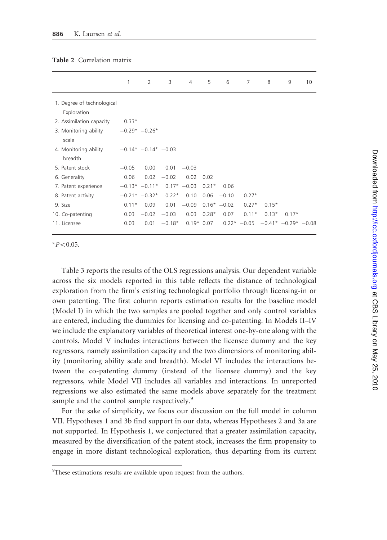#### Table 2 Correlation matrix

|                                           | 1               | 2                     | 3            | $\overline{4}$  | 5           | 6             | 7       | 8       | 9                                  | 10 |
|-------------------------------------------|-----------------|-----------------------|--------------|-----------------|-------------|---------------|---------|---------|------------------------------------|----|
| 1. Degree of technological<br>Exploration |                 |                       |              |                 |             |               |         |         |                                    |    |
| 2. Assimilation capacity                  | $0.33*$         |                       |              |                 |             |               |         |         |                                    |    |
| 3. Monitoring ability<br>scale            | $-0.29* -0.26*$ |                       |              |                 |             |               |         |         |                                    |    |
| 4. Monitoring ability<br>breadth          |                 | $-0.14* -0.14* -0.03$ |              |                 |             |               |         |         |                                    |    |
| 5. Patent stock                           | $-0.05$         | 0.00                  | 0.01         | $-0.03$         |             |               |         |         |                                    |    |
| 6. Generality                             | 0.06            |                       | $0.02 -0.02$ | 0.02            | 0.02        |               |         |         |                                    |    |
| 7. Patent experience                      |                 | $-0.13* -0.11*$       |              | $0.17^* - 0.03$ | $0.21*$     | 0.06          |         |         |                                    |    |
| 8. Patent activity                        |                 | $-0.21^*$ $-0.32^*$   | $0.22*$      | 0.10            |             | $0.06 - 0.10$ | $0.27*$ |         |                                    |    |
| 9. Size                                   | $0.11*$         | 0.09                  | 0.01         | $-0.09$         |             | $0.16* -0.02$ | $0.27*$ | $0.15*$ |                                    |    |
| 10. Co-patenting                          | 0.03            | $-0.02$               | $-0.03$      | 0.03            | $0.28*$     | 0.07          | $0.11*$ | $0.13*$ | $0.17*$                            |    |
| 11. Licensee                              | 0.03            | 0.01                  | $-0.18*$     |                 | $0.19*0.07$ |               |         |         | $0.22^*$ -0.05 -0.41* -0.29* -0.08 |    |

 $*P<0.05$ .

Table 3 reports the results of the OLS regressions analysis. Our dependent variable across the six models reported in this table reflects the distance of technological exploration from the firm's existing technological portfolio through licensing-in or own patenting. The first column reports estimation results for the baseline model (Model I) in which the two samples are pooled together and only control variables are entered, including the dummies for licensing and co-patenting. In Models II–IV we include the explanatory variables of theoretical interest one-by-one along with the controls. Model V includes interactions between the licensee dummy and the key regressors, namely assimilation capacity and the two dimensions of monitoring ability (monitoring ability scale and breadth). Model VI includes the interactions between the co-patenting dummy (instead of the licensee dummy) and the key regressors, while Model VII includes all variables and interactions. In unreported regressions we also estimated the same models above separately for the treatment sample and the control sample respectively.<sup>9</sup>

For the sake of simplicity, we focus our discussion on the full model in column VII. Hypotheses 1 and 3b find support in our data, whereas Hypotheses 2 and 3a are not supported. In Hypothesis 1, we conjectured that a greater assimilation capacity, measured by the diversification of the patent stock, increases the firm propensity to engage in more distant technological exploration, thus departing from its current

<sup>&</sup>lt;sup>9</sup>These estimations results are available upon request from the authors.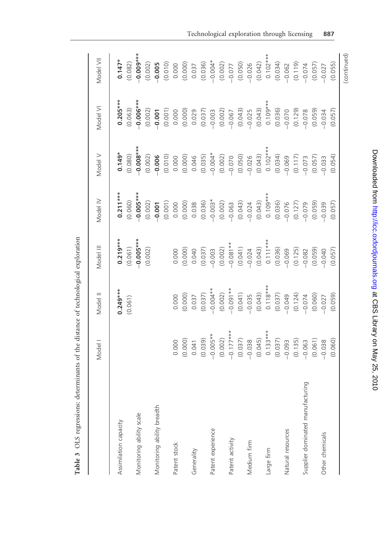|                                  | Model I             | Model II            | Model III           | Model IV            | Model V             | Model VI            | Model VII   |
|----------------------------------|---------------------|---------------------|---------------------|---------------------|---------------------|---------------------|-------------|
| Assimilation capacity            |                     | $0.249***$          | $0.219***$          | $0.211***$          | $0.149*$            | $0.205***$          | $0.147*$    |
|                                  |                     | (0.061)             | (0.061)             | (0.060)             | (0.080)             | (0.063)             | (0.082)     |
| Monitoring ability scale         |                     |                     | $-0.005***$         | $-0.005***$         | $0.008***$          | $0.006***$          | $-0.009***$ |
|                                  |                     |                     | (0.002)             | (0.002)             | (0.002)             | (0.002)             | (0.002)     |
| Monitoring ability breadth       |                     |                     |                     | $-0.001$            | $-0.006$            | $-0.001$            | $-0.005$    |
|                                  |                     |                     |                     | (0.001)             | (0.010)             | (0.001)             | (0.010)     |
| Patent stock                     | 0.000               | 0.000               | 0.000               | 0.000               | 0.000               | 0.000               | 0.000       |
|                                  | (0.000)             | (0.000)             | (0.000)             | (0.000)             | (0.000)             | (0.000)             | (0.000)     |
| Generality                       | 0.041               | 0.037               | 0.040               | 0.038               | 0.046               | 0.029               | 0.037       |
|                                  | (0.039)             | (0.037)             | (0.037)             | (0.036)             | (0.035)             | (0.037)             | (0.036)     |
| Patent experience                | $-0.005**$          | $-0.004**$          | $-0.003$            | $-0.003*$           | $-0.004*$           | $-0.003$            | $-0.004*$   |
|                                  | (0.002)             | (0.002)             | (0.002)             | (0.002)             | (0.002)             | (0.002)             | (0.002)     |
| Patent activity                  | $-0.177***$         | $-0.091**$          | $-0.081**$          | $-0.063$            | $-0.070$            | $-0.067$            | $-0.077$    |
|                                  | (0.037)             | (0.041)             | (0.041)             | (0.043)             | (0.050)             | (0.043)             | (0.050)     |
| Medium firm                      |                     |                     |                     |                     |                     |                     | $-0.026$    |
|                                  | $-0.038$<br>(0.045) | $-0.035$<br>(0.043) | $-0.024$<br>(0.043) | $-0.024$<br>(0.043) | $-0.026$<br>(0.043) | $-0.025$<br>(0.043) | (0.042)     |
| Large firm                       | $0.133***$          | $0.118***$          | $0.111***$          | $0.109***$          | $0.102***$          | $0.109***$          | $0.102***$  |
|                                  | (0.037)             | (0.037)             | (0.036)             | (0.036)             | (0.034)             | (0.036)             | (0.034)     |
| Natural resources                | $-0.093$            | $-0.049$            | $-0.069$            | $-0.076$            | $-0.069$            | $-0.070$            | $-0.062$    |
|                                  | (0.135)             | (0.124)             | (0.125)             | (0.127)             | (0.117)             | (0.129)             | (0.119)     |
| Supplier dominated manufacturing | $-0.063$            | $-0.074$            | $-0.082$            | $-0.079$            | $-0.073$            | $-0.078$            | $-0.074$    |
|                                  | (0.061)             | (0.060)             | (0.059)             | (0.059)             | (0.057)             | (0.059)             | (0.057)     |
| Other chemicals                  | $-0.038$            | $-0.027$            | $-0.040$            | $-0.039$            | $-0.033$            | $-0.034$            | $-0.027$    |
|                                  | (0.060)             | (0.059)             | (0.057)             | (0.057)             | (0.054)             | (0.057)             | (0.055)     |
|                                  |                     |                     |                     |                     |                     |                     |             |

Table 3 OLS regressions: determinants of the distance of technological exploration Table 3 OLS regressions: determinants of the distance of technological exploration

(continued)

(continued)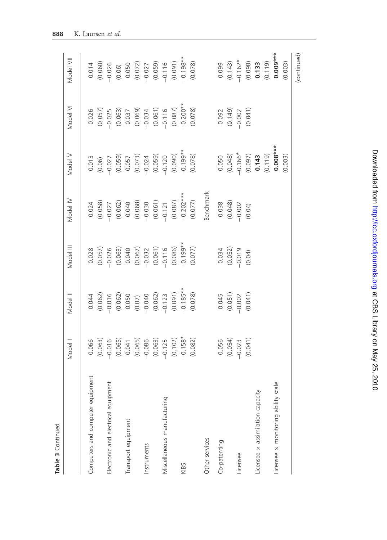| Table 3 Continued                       |                                                 |                                                                                                                             |                                                                                                                                                                                          |                                                                                                                               |                                                                                                                                                                                                                                                                                                              |                                                                                                                                                                                                                                                                                                                        |                                                                                                                                                                        |
|-----------------------------------------|-------------------------------------------------|-----------------------------------------------------------------------------------------------------------------------------|------------------------------------------------------------------------------------------------------------------------------------------------------------------------------------------|-------------------------------------------------------------------------------------------------------------------------------|--------------------------------------------------------------------------------------------------------------------------------------------------------------------------------------------------------------------------------------------------------------------------------------------------------------|------------------------------------------------------------------------------------------------------------------------------------------------------------------------------------------------------------------------------------------------------------------------------------------------------------------------|------------------------------------------------------------------------------------------------------------------------------------------------------------------------|
|                                         | Model I                                         | Model II                                                                                                                    | Model III                                                                                                                                                                                | Model IV                                                                                                                      | Model V                                                                                                                                                                                                                                                                                                      | Model VI                                                                                                                                                                                                                                                                                                               | Model VII                                                                                                                                                              |
| uipment<br>Computers and computer eq    | 0.066                                           |                                                                                                                             |                                                                                                                                                                                          | 0.024                                                                                                                         |                                                                                                                                                                                                                                                                                                              | 0.026                                                                                                                                                                                                                                                                                                                  | 0.014                                                                                                                                                                  |
|                                         | (0.063)                                         | (0.044)                                                                                                                     |                                                                                                                                                                                          | (0.058)                                                                                                                       |                                                                                                                                                                                                                                                                                                              |                                                                                                                                                                                                                                                                                                                        |                                                                                                                                                                        |
| Electronic and electrical equipment     | $-0.016$                                        |                                                                                                                             |                                                                                                                                                                                          | $-0.027$                                                                                                                      |                                                                                                                                                                                                                                                                                                              |                                                                                                                                                                                                                                                                                                                        |                                                                                                                                                                        |
|                                         |                                                 |                                                                                                                             |                                                                                                                                                                                          |                                                                                                                               |                                                                                                                                                                                                                                                                                                              |                                                                                                                                                                                                                                                                                                                        |                                                                                                                                                                        |
| Transport equipment                     |                                                 |                                                                                                                             |                                                                                                                                                                                          |                                                                                                                               |                                                                                                                                                                                                                                                                                                              |                                                                                                                                                                                                                                                                                                                        |                                                                                                                                                                        |
|                                         | $(0.065)$<br>0.041<br>0.065)<br>-0.086          |                                                                                                                             |                                                                                                                                                                                          |                                                                                                                               |                                                                                                                                                                                                                                                                                                              |                                                                                                                                                                                                                                                                                                                        |                                                                                                                                                                        |
| Instruments                             |                                                 |                                                                                                                             |                                                                                                                                                                                          |                                                                                                                               |                                                                                                                                                                                                                                                                                                              |                                                                                                                                                                                                                                                                                                                        |                                                                                                                                                                        |
|                                         |                                                 |                                                                                                                             |                                                                                                                                                                                          |                                                                                                                               |                                                                                                                                                                                                                                                                                                              |                                                                                                                                                                                                                                                                                                                        |                                                                                                                                                                        |
| Miscellaneous manufacturing             |                                                 |                                                                                                                             |                                                                                                                                                                                          |                                                                                                                               |                                                                                                                                                                                                                                                                                                              |                                                                                                                                                                                                                                                                                                                        |                                                                                                                                                                        |
|                                         | $(0.063)$<br>$-0.125$<br>$(0.102)$<br>$-0.158*$ |                                                                                                                             |                                                                                                                                                                                          |                                                                                                                               |                                                                                                                                                                                                                                                                                                              |                                                                                                                                                                                                                                                                                                                        |                                                                                                                                                                        |
| KIBS                                    |                                                 |                                                                                                                             |                                                                                                                                                                                          |                                                                                                                               |                                                                                                                                                                                                                                                                                                              |                                                                                                                                                                                                                                                                                                                        |                                                                                                                                                                        |
|                                         | (0.082)                                         | $-0.016$<br>$(0.062)$<br>$(0.050$<br>$(0.07)$<br>$(0.062)$<br>$(0.062)$<br>$(0.062)$<br>$(0.050)$<br>$(0.078)$<br>$(0.078)$ | $\begin{array}{l} 0.028 \\ 0.057) \\ 0.057 \\ 0.0263 \\ 0.063) \\ 0.067 \\ 0.067 \\ 0.057 \\ 0.057 \\ 0.050 \\ 0.054 \\ 0.054 \\ 0.054 \\ 0.054 \\ 0.054 \\ 0.007 \\ 0.077) \end{array}$ | $\begin{array}{l} (0.062) \\ 0.040 \\ (0.068) \\ -0.030 \\ (0.061) \\ (0.061) \\ (0.067) \\ (0.087) \\ -0.202*** \end{array}$ | $\begin{array}{l} 0.013 \\ 0.005 \\ 0.005 \\ -0.027 \\ 0.059 \\ -0.037 \\ 0.059 \\ -0.037 \\ -0.034 \\ -0.009 \\ -0.009 \\ -0.009 \\ -0.008 \\ 0.008 \\ -0.008 \\ 0.008 \\ 0.008 \\ 0.008 \\ 0.008 \\ 0.008 \\ 0.008 \\ 0.008 \\ 0.008 \\ 0.008 \\ 0.008 \\ 0.008 \\ 0.008 \\ 0.008 \\ 0.008 \\ 0.008 \\ 0.$ | $\begin{array}{l} (0.057) \\ -0.025 \\ (0.063) \\ (0.069) \\ (0.069) \\ (0.069) \\ (0.061) \\ (0.067) \\ (0.057) \\ (0.057) \\ (0.078) \\ (0.078) \\ (0.078) \\ (0.078) \\ (0.078) \\ (0.078) \\ (0.078) \\ (0.078) \\ (0.078) \\ (0.078) \\ (0.078) \\ (0.078) \\ (0.078) \\ (0.078) \\ (0.078) \\ (0.078) \\ (0.078$ | $\begin{array}{l} (0.060) \\ -0.026 \\ (0.06) \\ (0.050 \\ (0.072) \\ (0.072) \\ (0.059) \\ (0.059) \\ (0.059) \\ (-116) \\ (0.078) \\ (0.078) \\ (0.078) \end{array}$ |
| Other services                          |                                                 |                                                                                                                             |                                                                                                                                                                                          | Benchmark                                                                                                                     |                                                                                                                                                                                                                                                                                                              |                                                                                                                                                                                                                                                                                                                        |                                                                                                                                                                        |
| Co-patenting                            |                                                 |                                                                                                                             |                                                                                                                                                                                          |                                                                                                                               |                                                                                                                                                                                                                                                                                                              |                                                                                                                                                                                                                                                                                                                        |                                                                                                                                                                        |
|                                         | (0.056)                                         | $\begin{array}{c} 0.045 \\ (0.051) \\ -0.002 \\ (0.041) \end{array}$                                                        | $\begin{array}{c} 0.034 \\ (0.052) \\ -0.019 \\ (0.04) \end{array}$                                                                                                                      | 0.038<br>(0.048)                                                                                                              | 0.050<br>(0.048)                                                                                                                                                                                                                                                                                             |                                                                                                                                                                                                                                                                                                                        | (0.143)                                                                                                                                                                |
| Licensee                                | $-0.023$                                        |                                                                                                                             |                                                                                                                                                                                          | $-0.002$                                                                                                                      |                                                                                                                                                                                                                                                                                                              |                                                                                                                                                                                                                                                                                                                        |                                                                                                                                                                        |
|                                         | (0.041)                                         |                                                                                                                             |                                                                                                                                                                                          | (0.04)                                                                                                                        | $-0.166*$<br>(0.097)<br><b>0.143</b><br>(0.119)                                                                                                                                                                                                                                                              | $\begin{array}{c} 0.092 \\ (0.149) \\ -0.002 \\ (0.041) \end{array}$                                                                                                                                                                                                                                                   | $-0.162*$<br>(0.098)<br>(0.1133<br>(0.119)                                                                                                                             |
| Licensee $\times$ assimilation capacity |                                                 |                                                                                                                             |                                                                                                                                                                                          |                                                                                                                               |                                                                                                                                                                                                                                                                                                              |                                                                                                                                                                                                                                                                                                                        |                                                                                                                                                                        |
|                                         |                                                 |                                                                                                                             |                                                                                                                                                                                          |                                                                                                                               |                                                                                                                                                                                                                                                                                                              |                                                                                                                                                                                                                                                                                                                        |                                                                                                                                                                        |
| scale<br>Licensee x monitoring ability  |                                                 |                                                                                                                             |                                                                                                                                                                                          |                                                                                                                               | $0.008***$                                                                                                                                                                                                                                                                                                   |                                                                                                                                                                                                                                                                                                                        | $0.009***$                                                                                                                                                             |
|                                         |                                                 |                                                                                                                             |                                                                                                                                                                                          |                                                                                                                               | (0.003)                                                                                                                                                                                                                                                                                                      |                                                                                                                                                                                                                                                                                                                        | (0.003)                                                                                                                                                                |
|                                         |                                                 |                                                                                                                             |                                                                                                                                                                                          |                                                                                                                               |                                                                                                                                                                                                                                                                                                              |                                                                                                                                                                                                                                                                                                                        | (continued                                                                                                                                                             |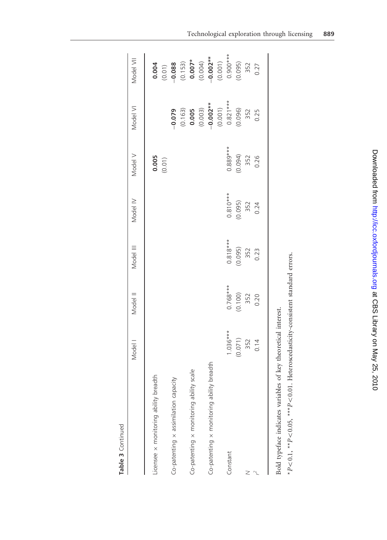|                                                     | Model I    | Model II   | Model III  | Model IV   | Model V           | Model VI                                              | Model VII                                                             |
|-----------------------------------------------------|------------|------------|------------|------------|-------------------|-------------------------------------------------------|-----------------------------------------------------------------------|
| icensee x monitoring ability breadth                |            |            |            |            |                   |                                                       |                                                                       |
|                                                     |            |            |            |            | $0.005$<br>(0.01) |                                                       | 0.004<br>(0.01)<br>-0.088<br>-0.007*<br>0.0007<br>(0.004)<br>-0.002** |
| capacity<br>$Co$ -patenting $\times$ assimilation   |            |            |            |            |                   |                                                       |                                                                       |
|                                                     |            |            |            |            |                   | $-0.079$<br>(0.163)<br>(0.1005<br>(0.003)<br>-0.002** |                                                                       |
| ability scale<br>Co-patenting $\times$ monitoring   |            |            |            |            |                   |                                                       |                                                                       |
|                                                     |            |            |            |            |                   |                                                       |                                                                       |
| ability breadth<br>Co-patenting $\times$ monitoring |            |            |            |            |                   |                                                       |                                                                       |
|                                                     |            |            |            |            |                   | $(0.001)$<br>0.821 ***                                | (0.001)                                                               |
| Constant                                            | $1.036***$ | $0.768***$ | $0.818***$ | $0.810***$ | $0.889***$        |                                                       | $0.900***$                                                            |
|                                                     | (0.071)    | (0.100)    | (0.095)    | (0.095)    | (0.094)           | (0.096)                                               | (0.095)                                                               |
|                                                     | 352        | 352        | 352        | 352        | 352               | 352                                                   | 352                                                                   |
|                                                     | 0.14       | 0.20       | 0.23       | 0.24       | 0.26              | 0.25                                                  | 0.27                                                                  |
|                                                     |            |            |            |            |                   |                                                       |                                                                       |

Bold typeface indicates variables of key theoretical interest. Bold typeface indicates variables of key theoretical interest.

 $*P<0.1,$   $*$   $*P<0.05,$   $*$   $*$   $*$   $P<0.01.$  Heteroscedasticity-consistent standard errors. \*P50.1, \*\*P50.05, \*\*\*P50.01. Heteroscedasticity-consistent standard errors.

Table 3 Continued Table 3 Continued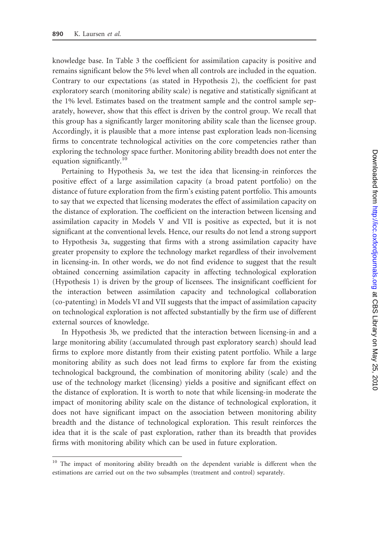knowledge base. In Table 3 the coefficient for assimilation capacity is positive and remains significant below the 5% level when all controls are included in the equation. Contrary to our expectations (as stated in Hypothesis 2), the coefficient for past exploratory search (monitoring ability scale) is negative and statistically significant at the 1% level. Estimates based on the treatment sample and the control sample separately, however, show that this effect is driven by the control group. We recall that this group has a significantly larger monitoring ability scale than the licensee group. Accordingly, it is plausible that a more intense past exploration leads non-licensing firms to concentrate technological activities on the core competencies rather than exploring the technology space further. Monitoring ability breadth does not enter the equation significantly.<sup>10</sup>

Pertaining to Hypothesis 3a, we test the idea that licensing-in reinforces the positive effect of a large assimilation capacity (a broad patent portfolio) on the distance of future exploration from the firm's existing patent portfolio. This amounts to say that we expected that licensing moderates the effect of assimilation capacity on the distance of exploration. The coefficient on the interaction between licensing and assimilation capacity in Models V and VII is positive as expected, but it is not significant at the conventional levels. Hence, our results do not lend a strong support to Hypothesis 3a, suggesting that firms with a strong assimilation capacity have greater propensity to explore the technology market regardless of their involvement in licensing-in. In other words, we do not find evidence to suggest that the result obtained concerning assimilation capacity in affecting technological exploration (Hypothesis 1) is driven by the group of licensees. The insignificant coefficient for the interaction between assimilation capacity and technological collaboration (co-patenting) in Models VI and VII suggests that the impact of assimilation capacity on technological exploration is not affected substantially by the firm use of different external sources of knowledge.

In Hypothesis 3b, we predicted that the interaction between licensing-in and a large monitoring ability (accumulated through past exploratory search) should lead firms to explore more distantly from their existing patent portfolio. While a large monitoring ability as such does not lead firms to explore far from the existing technological background, the combination of monitoring ability (scale) and the use of the technology market (licensing) yields a positive and significant effect on the distance of exploration. It is worth to note that while licensing-in moderate the impact of monitoring ability scale on the distance of technological exploration, it does not have significant impact on the association between monitoring ability breadth and the distance of technological exploration. This result reinforces the idea that it is the scale of past exploration, rather than its breadth that provides firms with monitoring ability which can be used in future exploration.

<sup>&</sup>lt;sup>10</sup> The impact of monitoring ability breadth on the dependent variable is different when the estimations are carried out on the two subsamples (treatment and control) separately.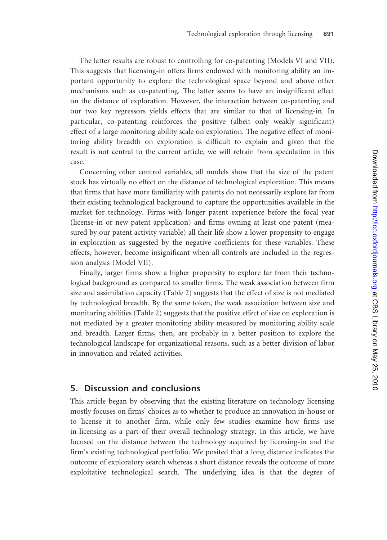The latter results are robust to controlling for co-patenting (Models VI and VII). This suggests that licensing-in offers firms endowed with monitoring ability an important opportunity to explore the technological space beyond and above other mechanisms such as co-patenting. The latter seems to have an insignificant effect on the distance of exploration. However, the interaction between co-patenting and our two key regressors yields effects that are similar to that of licensing-in. In particular, co-patenting reinforces the positive (albeit only weakly significant) effect of a large monitoring ability scale on exploration. The negative effect of monitoring ability breadth on exploration is difficult to explain and given that the result is not central to the current article, we will refrain from speculation in this case.

Concerning other control variables, all models show that the size of the patent stock has virtually no effect on the distance of technological exploration. This means that firms that have more familiarity with patents do not necessarily explore far from their existing technological background to capture the opportunities available in the market for technology. Firms with longer patent experience before the focal year (license-in or new patent application) and firms owning at least one patent (measured by our patent activity variable) all their life show a lower propensity to engage in exploration as suggested by the negative coefficients for these variables. These effects, however, become insignificant when all controls are included in the regression analysis (Model VII).

Finally, larger firms show a higher propensity to explore far from their technological background as compared to smaller firms. The weak association between firm size and assimilation capacity (Table 2) suggests that the effect of size is not mediated by technological breadth. By the same token, the weak association between size and monitoring abilities (Table 2) suggests that the positive effect of size on exploration is not mediated by a greater monitoring ability measured by monitoring ability scale and breadth. Larger firms, then, are probably in a better position to explore the technological landscape for organizational reasons, such as a better division of labor in innovation and related activities.

## 5. Discussion and conclusions

This article began by observing that the existing literature on technology licensing mostly focuses on firms' choices as to whether to produce an innovation in-house or to license it to another firm, while only few studies examine how firms use in-licensing as a part of their overall technology strategy. In this article, we have focused on the distance between the technology acquired by licensing-in and the firm's existing technological portfolio. We posited that a long distance indicates the outcome of exploratory search whereas a short distance reveals the outcome of more exploitative technological search. The underlying idea is that the degree of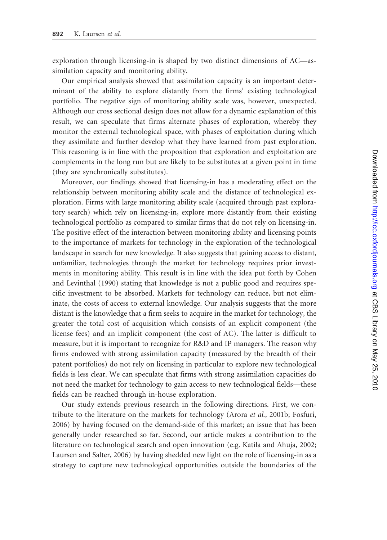exploration through licensing-in is shaped by two distinct dimensions of AC—assimilation capacity and monitoring ability.

Our empirical analysis showed that assimilation capacity is an important determinant of the ability to explore distantly from the firms' existing technological portfolio. The negative sign of monitoring ability scale was, however, unexpected. Although our cross sectional design does not allow for a dynamic explanation of this result, we can speculate that firms alternate phases of exploration, whereby they monitor the external technological space, with phases of exploitation during which they assimilate and further develop what they have learned from past exploration. This reasoning is in line with the proposition that exploration and exploitation are complements in the long run but are likely to be substitutes at a given point in time (they are synchronically substitutes).

Moreover, our findings showed that licensing-in has a moderating effect on the relationship between monitoring ability scale and the distance of technological exploration. Firms with large monitoring ability scale (acquired through past exploratory search) which rely on licensing-in, explore more distantly from their existing technological portfolio as compared to similar firms that do not rely on licensing-in. The positive effect of the interaction between monitoring ability and licensing points to the importance of markets for technology in the exploration of the technological landscape in search for new knowledge. It also suggests that gaining access to distant, unfamiliar, technologies through the market for technology requires prior investments in monitoring ability. This result is in line with the idea put forth by Cohen and Levinthal (1990) stating that knowledge is not a public good and requires specific investment to be absorbed. Markets for technology can reduce, but not eliminate, the costs of access to external knowledge. Our analysis suggests that the more distant is the knowledge that a firm seeks to acquire in the market for technology, the greater the total cost of acquisition which consists of an explicit component (the license fees) and an implicit component (the cost of AC). The latter is difficult to measure, but it is important to recognize for R&D and IP managers. The reason why firms endowed with strong assimilation capacity (measured by the breadth of their patent portfolios) do not rely on licensing in particular to explore new technological fields is less clear. We can speculate that firms with strong assimilation capacities do not need the market for technology to gain access to new technological fields—these fields can be reached through in-house exploration.

Our study extends previous research in the following directions. First, we contribute to the literature on the markets for technology (Arora et al., 2001b; Fosfuri, 2006) by having focused on the demand-side of this market; an issue that has been generally under researched so far. Second, our article makes a contribution to the literature on technological search and open innovation (e.g. Katila and Ahuja, 2002; Laursen and Salter, 2006) by having shedded new light on the role of licensing-in as a strategy to capture new technological opportunities outside the boundaries of the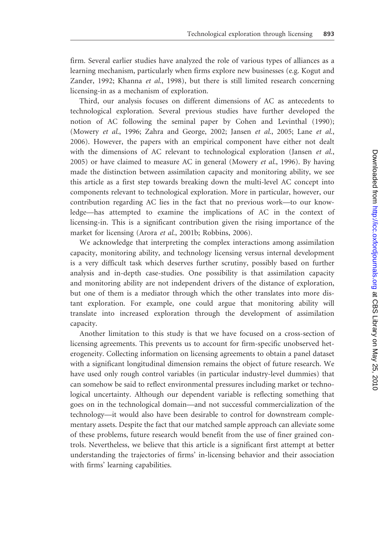firm. Several earlier studies have analyzed the role of various types of alliances as a learning mechanism, particularly when firms explore new businesses (e.g. Kogut and Zander, 1992; Khanna et al., 1998), but there is still limited research concerning licensing-in as a mechanism of exploration.

Third, our analysis focuses on different dimensions of AC as antecedents to technological exploration. Several previous studies have further developed the notion of AC following the seminal paper by Cohen and Levinthal (1990); (Mowery et al., 1996; Zahra and George, 2002; Jansen et al., 2005; Lane et al., 2006). However, the papers with an empirical component have either not dealt with the dimensions of AC relevant to technological exploration (Jansen et al., 2005) or have claimed to measure AC in general (Mowery et al., 1996). By having made the distinction between assimilation capacity and monitoring ability, we see this article as a first step towards breaking down the multi-level AC concept into components relevant to technological exploration. More in particular, however, our contribution regarding AC lies in the fact that no previous work—to our knowledge—has attempted to examine the implications of AC in the context of licensing-in. This is a significant contribution given the rising importance of the market for licensing (Arora *et al.*, 2001b; Robbins, 2006).

We acknowledge that interpreting the complex interactions among assimilation capacity, monitoring ability, and technology licensing versus internal development is a very difficult task which deserves further scrutiny, possibly based on further analysis and in-depth case-studies. One possibility is that assimilation capacity and monitoring ability are not independent drivers of the distance of exploration, but one of them is a mediator through which the other translates into more distant exploration. For example, one could argue that monitoring ability will translate into increased exploration through the development of assimilation capacity.

Another limitation to this study is that we have focused on a cross-section of licensing agreements. This prevents us to account for firm-specific unobserved heterogeneity. Collecting information on licensing agreements to obtain a panel dataset with a significant longitudinal dimension remains the object of future research. We have used only rough control variables (in particular industry-level dummies) that can somehow be said to reflect environmental pressures including market or technological uncertainty. Although our dependent variable is reflecting something that goes on in the technological domain—and not successful commercialization of the technology—it would also have been desirable to control for downstream complementary assets. Despite the fact that our matched sample approach can alleviate some of these problems, future research would benefit from the use of finer grained controls. Nevertheless, we believe that this article is a significant first attempt at better understanding the trajectories of firms' in-licensing behavior and their association with firms' learning capabilities.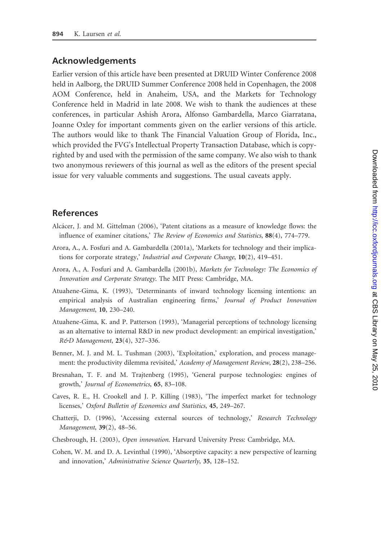# Acknowledgements

Earlier version of this article have been presented at DRUID Winter Conference 2008 held in Aalborg, the DRUID Summer Conference 2008 held in Copenhagen, the 2008 AOM Conference, held in Anaheim, USA, and the Markets for Technology Conference held in Madrid in late 2008. We wish to thank the audiences at these conferences, in particular Ashish Arora, Alfonso Gambardella, Marco Giarratana, Joanne Oxley for important comments given on the earlier versions of this article. The authors would like to thank The Financial Valuation Group of Florida, Inc., which provided the FVG's Intellectual Property Transaction Database, which is copyrighted by and used with the permission of the same company. We also wish to thank two anonymous reviewers of this journal as well as the editors of the present special issue for very valuable comments and suggestions. The usual caveats apply.

# References

- Alcácer, J. and M. Gittelman (2006), 'Patent citations as a measure of knowledge flows: the influence of examiner citations,' The Review of Economics and Statistics, 88(4), 774–779.
- Arora, A., A. Fosfuri and A. Gambardella (2001a), 'Markets for technology and their implications for corporate strategy,' Industrial and Corporate Change, 10(2), 419-451.
- Arora, A., A. Fosfuri and A. Gambardella (2001b), Markets for Technology: The Economics of Innovation and Corporate Strategy. The MIT Press: Cambridge, MA.
- Atuahene-Gima, K. (1993), 'Determinants of inward technology licensing intentions: an empirical analysis of Australian engineering firms,' Journal of Product Innovation Management, 10, 230–240.
- Atuahene-Gima, K. and P. Patterson (1993), 'Managerial perceptions of technology licensing as an alternative to internal R&D in new product development: an empirical investigation,' R&D Management, 23(4), 327–336.
- Benner, M. J. and M. L. Tushman (2003), 'Exploitation,' exploration, and process management: the productivity dilemma revisited,' Academy of Management Review, 28(2), 238-256.
- Bresnahan, T. F. and M. Trajtenberg (1995), 'General purpose technologies: engines of growth,' Journal of Econometrics, 65, 83–108.
- Caves, R. E., H. Crookell and J. P. Killing (1983), 'The imperfect market for technology licenses,' Oxford Bulletin of Economics and Statistics, 45, 249–267.
- Chatterji, D. (1996), 'Accessing external sources of technology,' Research Technology Management, 39(2), 48–56.
- Chesbrough, H. (2003), Open innovation. Harvard University Press: Cambridge, MA.
- Cohen, W. M. and D. A. Levinthal (1990), 'Absorptive capacity: a new perspective of learning and innovation,' Administrative Science Quarterly, 35, 128–152.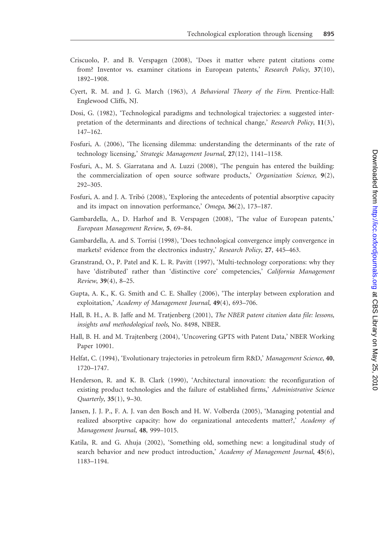- Criscuolo, P. and B. Verspagen (2008), 'Does it matter where patent citations come from? Inventor vs. examiner citations in European patents,' Research Policy, 37(10), 1892–1908.
- Cyert, R. M. and J. G. March (1963), A Behavioral Theory of the Firm. Prentice-Hall: Englewood Cliffs, NJ.
- Dosi, G. (1982), 'Technological paradigms and technological trajectories: a suggested interpretation of the determinants and directions of technical change,' Research Policy, 11(3), 147–162.
- Fosfuri, A. (2006), 'The licensing dilemma: understanding the determinants of the rate of technology licensing,' Strategic Management Journal, 27(12), 1141–1158.
- Fosfuri, A., M. S. Giarratana and A. Luzzi (2008), 'The penguin has entered the building: the commercialization of open source software products,' Organization Science, 9(2), 292–305.
- Fosfuri, A. and J. A. Tribó (2008), 'Exploring the antecedents of potential absorptive capacity and its impact on innovation performance,' Omega, 36(2), 173–187.
- Gambardella, A., D. Harhof and B. Verspagen (2008), 'The value of European patents,' European Management Review, 5, 69–84.
- Gambardella, A. and S. Torrisi (1998), 'Does technological convergence imply convergence in markets? evidence from the electronics industry,' Research Policy, 27, 445–463.
- Granstrand, O., P. Patel and K. L. R. Pavitt (1997), 'Multi-technology corporations: why they have 'distributed' rather than 'distinctive core' competencies,' California Management Review, 39(4), 8–25.
- Gupta, A. K., K. G. Smith and C. E. Shalley (2006), 'The interplay between exploration and exploitation,' Academy of Management Journal, 49(4), 693–706.
- Hall, B. H., A. B. Jaffe and M. Tratjenberg (2001), The NBER patent citation data file: lessons, insights and methodological tools, No. 8498, NBER.
- Hall, B. H. and M. Trajtenberg (2004), 'Uncovering GPTS with Patent Data,' NBER Working Paper 10901.
- Helfat, C. (1994), 'Evolutionary trajectories in petroleum firm R&D,' Management Science, 40, 1720–1747.
- Henderson, R. and K. B. Clark (1990), 'Architectural innovation: the reconfiguration of existing product technologies and the failure of established firms,' Administrative Science Quarterly, 35(1), 9–30.
- Jansen, J. J. P., F. A. J. van den Bosch and H. W. Volberda (2005), 'Managing potential and realized absorptive capacity: how do organizational antecedents matter?,' Academy of Management Journal, 48, 999–1015.
- Katila, R. and G. Ahuja (2002), 'Something old, something new: a longitudinal study of search behavior and new product introduction,' Academy of Management Journal, 45(6), 1183–1194.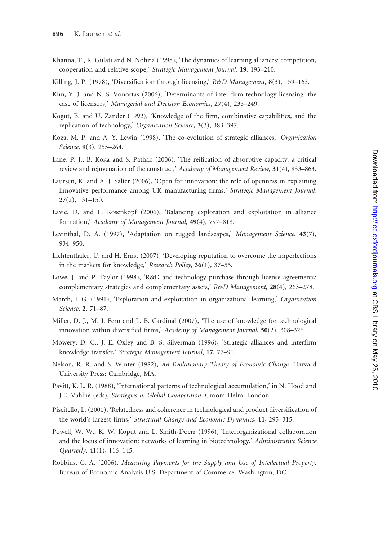- Khanna, T., R. Gulati and N. Nohria (1998), 'The dynamics of learning alliances: competition, cooperation and relative scope,' Strategic Management Journal, 19, 193–210.
- Killing, J. P. (1978), 'Diversification through licensing,' R&D Management, 8(3), 159-163.
- Kim, Y. J. and N. S. Vonortas (2006), 'Determinants of inter-firm technology licensing: the case of licensors,' Managerial and Decision Economics, 27(4), 235–249.
- Kogut, B. and U. Zander (1992), 'Knowledge of the firm, combinative capabilities, and the replication of technology,' Organization Science, 3(3), 383–397.
- Koza, M. P. and A. Y. Lewin (1998), 'The co-evolution of strategic alliances,' Organization Science, 9(3), 255–264.
- Lane, P. J., B. Koka and S. Pathak (2006), 'The reification of absorptive capacity: a critical review and rejuvenation of the construct,' Academy of Management Review, 31(4), 833-863.
- Laursen, K. and A. J. Salter (2006), 'Open for innovation: the role of openness in explaining innovative performance among UK manufacturing firms,' Strategic Management Journal, 27(2), 131–150.
- Lavie, D. and L. Rosenkopf (2006), 'Balancing exploration and exploitation in alliance formation,' Academy of Management Journal, 49(4), 797–818.
- Levinthal, D. A. (1997), 'Adaptation on rugged landscapes,' Management Science, 43(7), 934–950.
- Lichtenthaler, U. and H. Ernst (2007), 'Developing reputation to overcome the imperfections in the markets for knowledge,' Research Policy, 36(1), 37–55.
- Lowe, J. and P. Taylor (1998), 'R&D and technology purchase through license agreements: complementary strategies and complementary assets,' R&D Management, 28(4), 263-278.
- March, J. G. (1991), 'Exploration and exploitation in organizational learning,' Organization Science, 2, 71–87.
- Miller, D. J., M. J. Fern and L. B. Cardinal (2007), 'The use of knowledge for technological innovation within diversified firms,' Academy of Management Journal, 50(2), 308–326.
- Mowery, D. C., J. E. Oxley and B. S. Silverman (1996), 'Strategic alliances and interfirm knowledge transfer,' Strategic Management Journal, 17, 77–91.
- Nelson, R. R. and S. Winter (1982), An Evolutionary Theory of Economic Change. Harvard University Press: Cambridge, MA.
- Pavitt, K. L. R. (1988), 'International patterns of technological accumulation,' in N. Hood and J.E. Vahlne (eds), Strategies in Global Competition. Croom Helm: London.
- Piscitello, L. (2000), 'Relatedness and coherence in technological and product diversification of the world's largest firms,' Structural Change and Economic Dynamics, 11, 295–315.
- Powell, W. W., K. W. Koput and L. Smith-Doerr (1996), 'Interorganizational collaboration and the locus of innovation: networks of learning in biotechnology,' Administrative Science Quarterly, 41(1), 116–145.
- Robbins, C. A. (2006), Measuring Payments for the Supply and Use of Intellectual Property. Bureau of Economic Analysis U.S. Department of Commerce: Washington, DC.